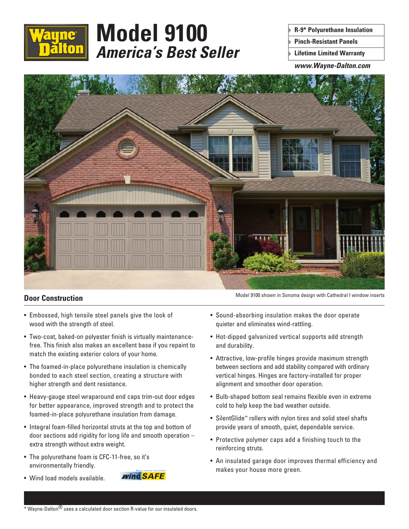

# **Model 9100** *America's Best Seller*

**R-9\* Polyurethane Insulation**

**Pinch-Resistant Panels**

**Lifetime Limited Warranty**

*www.Wayne-Dalton.com*



### **Door Construction**

- Embossed, high tensile steel panels give the look of wood with the strength of steel.
- Two-coat, baked-on polyester finish is virtually maintenancefree. This finish also makes an excellent base if you repaint to match the existing exterior colors of your home.
- The foamed-in-place polyurethane insulation is chemically bonded to each steel section, creating a structure with higher strength and dent resistance.
- Heavy-gauge steel wraparound end caps trim-out door edges for better appearance, improved strength and to protect the foamed-in-place polyurethane insulation from damage.
- Integral foam-filled horizontal struts at the top and bottom of door sections add rigidity for long life and smooth operation – extra strength without extra weight.
- The polyurethane foam is CFC-11-free, so it's environmentally friendly.
- Wind load models available.

Model 9100 shown in Sonoma design with Cathedral I window inserts

- Sound-absorbing insulation makes the door operate quieter and eliminates wind-rattling.
- Hot-dipped galvanized vertical supports add strength and durability.
- Attractive, low-profile hinges provide maximum strength between sections and add stability compared with ordinary vertical hinges. Hinges are factory-installed for proper alignment and smoother door operation.
- Bulb-shaped bottom seal remains flexible even in extreme cold to help keep the bad weather outside.
- SilentGlide™ rollers with nylon tires and solid steel shafts provide years of smooth, quiet, dependable service.
- Protective polymer caps add a finishing touch to the reinforcing struts.
- An insulated garage door improves thermal efficiency and makes your house more green.

**Wind SAFE**